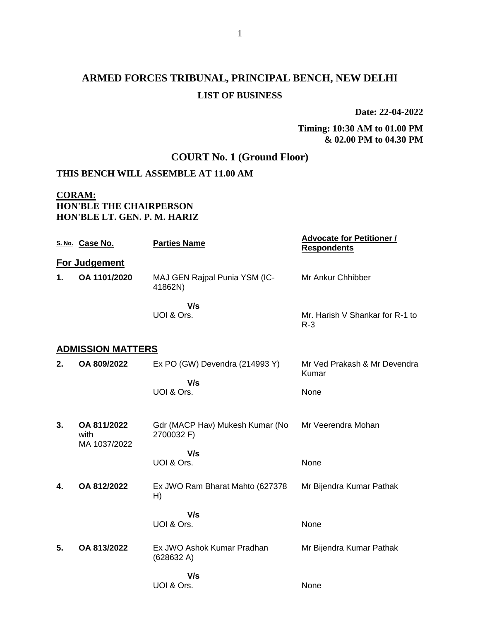# **ARMED FORCES TRIBUNAL, PRINCIPAL BENCH, NEW DELHI LIST OF BUSINESS**

**Date: 22-04-2022**

#### **Timing: 10:30 AM to 01.00 PM & 02.00 PM to 04.30 PM**

# **COURT No. 1 (Ground Floor)**

# **THIS BENCH WILL ASSEMBLE AT 11.00 AM**

### **CORAM: HON'BLE THE CHAIRPERSON HON'BLE LT. GEN. P. M. HARIZ**

|    | S. No. Case No.                     | <b>Parties Name</b>                           | <b>Advocate for Petitioner /</b><br><b>Respondents</b> |
|----|-------------------------------------|-----------------------------------------------|--------------------------------------------------------|
|    | For Judgement                       |                                               |                                                        |
| 1. | OA 1101/2020                        | MAJ GEN Rajpal Punia YSM (IC-<br>41862N)      | Mr Ankur Chhibber                                      |
|    |                                     | V/s<br>UOI & Ors.                             | Mr. Harish V Shankar for R-1 to<br>$R-3$               |
|    | <b>ADMISSION MATTERS</b>            |                                               |                                                        |
| 2. | OA 809/2022                         | Ex PO (GW) Devendra (214993 Y)                | Mr Ved Prakash & Mr Devendra<br>Kumar                  |
|    |                                     | V/s<br>UOI & Ors.                             | None                                                   |
| 3. | OA 811/2022<br>with<br>MA 1037/2022 | Gdr (MACP Hav) Mukesh Kumar (No<br>2700032 F) | Mr Veerendra Mohan                                     |
|    |                                     | V/s<br>UOI & Ors.                             | None                                                   |
| 4. | OA 812/2022                         | Ex JWO Ram Bharat Mahto (627378<br>H)         | Mr Bijendra Kumar Pathak                               |
|    |                                     | V/s<br>UOI & Ors.                             | None                                                   |
| 5. | OA 813/2022                         | Ex JWO Ashok Kumar Pradhan<br>(628632 A)      | Mr Bijendra Kumar Pathak                               |
|    |                                     | V/s<br>UOI & Ors.                             | None                                                   |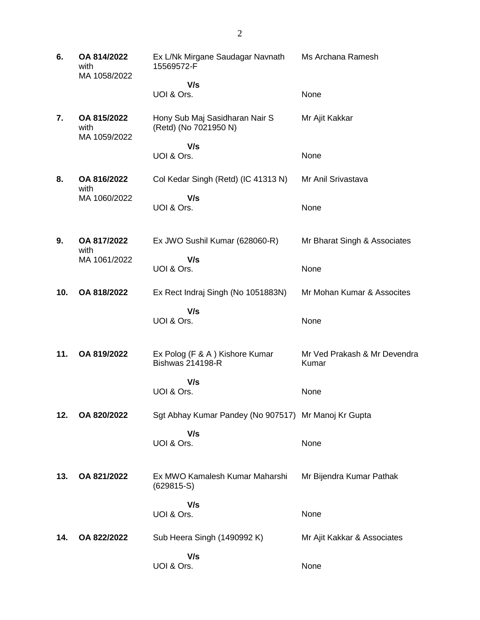| 6.  | OA 814/2022<br>with<br>MA 1058/2022 | Ex L/Nk Mirgane Saudagar Navnath<br>15569572-F             | Ms Archana Ramesh                     |
|-----|-------------------------------------|------------------------------------------------------------|---------------------------------------|
|     |                                     | V/s<br>UOI & Ors.                                          | None                                  |
|     |                                     |                                                            |                                       |
| 7.  | OA 815/2022<br>with<br>MA 1059/2022 | Hony Sub Maj Sasidharan Nair S<br>(Retd) (No 7021950 N)    | Mr Ajit Kakkar                        |
|     |                                     | V/s                                                        |                                       |
|     |                                     | UOI & Ors.                                                 | None                                  |
| 8.  | OA 816/2022<br>with                 | Col Kedar Singh (Retd) (IC 41313 N)                        | Mr Anil Srivastava                    |
|     | MA 1060/2022                        | V/s<br>UOI & Ors.                                          | None                                  |
|     |                                     |                                                            |                                       |
| 9.  | OA 817/2022                         | Ex JWO Sushil Kumar (628060-R)                             | Mr Bharat Singh & Associates          |
|     | with                                |                                                            |                                       |
|     | MA 1061/2022                        | V/s<br>UOI & Ors.                                          | None                                  |
|     |                                     |                                                            |                                       |
| 10. | OA 818/2022                         | Ex Rect Indraj Singh (No 1051883N)                         | Mr Mohan Kumar & Assocites            |
|     |                                     | V/s                                                        |                                       |
|     |                                     | UOI & Ors.                                                 | None                                  |
|     |                                     |                                                            |                                       |
| 11. | OA 819/2022                         | Ex Polog (F & A ) Kishore Kumar<br><b>Bishwas 214198-R</b> | Mr Ved Prakash & Mr Devendra<br>Kumar |
|     |                                     | V/s                                                        |                                       |
|     |                                     | UOI & Ors.                                                 | None                                  |
| 12. | OA 820/2022                         | Sgt Abhay Kumar Pandey (No 907517) Mr Manoj Kr Gupta       |                                       |
|     |                                     |                                                            |                                       |
|     |                                     | V/s<br>UOI & Ors.                                          | None                                  |
|     |                                     |                                                            |                                       |
|     |                                     |                                                            |                                       |
| 13. | OA 821/2022                         | Ex MWO Kamalesh Kumar Maharshi<br>$(629815-S)$             | Mr Bijendra Kumar Pathak              |
|     |                                     | V/s                                                        |                                       |
|     |                                     | UOI & Ors.                                                 | None                                  |
| 14. | OA 822/2022                         |                                                            |                                       |
|     |                                     | Sub Heera Singh (1490992 K)                                | Mr Ajit Kakkar & Associates           |
|     |                                     | V/s                                                        |                                       |
|     |                                     | UOI & Ors.                                                 | None                                  |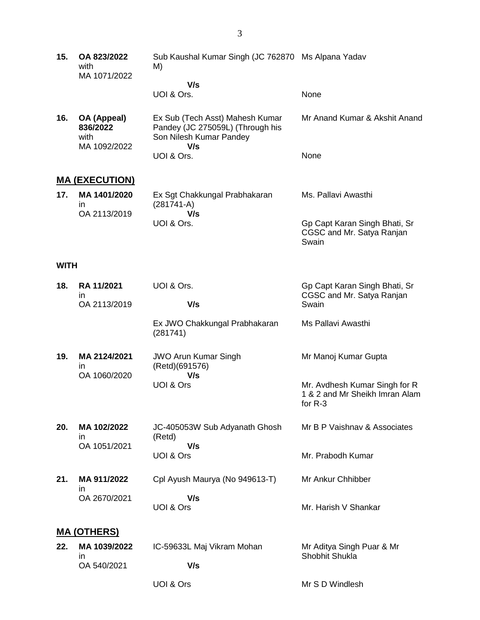**15. OA 823/2022** with MA 1071/2022 Sub Kaushal Kumar Singh (JC 762870 Ms Alpana Yadav M)  **V/s**

# UOI & Ors.

| 16. OA (Appeal)<br>836/2022<br>with<br>MA 1092/2022 | Ex Sub (Tech Asst) Mahesh Kumar<br>Pandey (JC 275059L) (Through his<br>Son Nilesh Kumar Pandey<br>V/s | Mr Anand Kumar & Akshit Anand |
|-----------------------------------------------------|-------------------------------------------------------------------------------------------------------|-------------------------------|
|                                                     | UOI & Ors.                                                                                            | <b>None</b>                   |

None

Swain

# **MA (EXECUTION)**

| 17. | MA 1401/2020 | Ex Sgt Chakkungal Prabhakaran<br>$(281741-A)$ | Ms. Pallavi Awasthi                                        |
|-----|--------------|-----------------------------------------------|------------------------------------------------------------|
|     | OA 2113/2019 | V/s                                           |                                                            |
|     |              | UOI & Ors.                                    | Gp Capt Karan Singh Bhati, Sr<br>CGSC and Mr. Satya Ranjan |

#### **WITH**

| 18. | RA 11/2021<br>$\mathsf{I}$         | UOI & Ors.                                           | Gp Capt Karan Singh Bhati, Sr<br>CGSC and Mr. Satya Ranjan                   |
|-----|------------------------------------|------------------------------------------------------|------------------------------------------------------------------------------|
|     | OA 2113/2019                       | V/s                                                  | Swain                                                                        |
|     |                                    | Ex JWO Chakkungal Prabhakaran<br>(281741)            | Ms Pallavi Awasthi                                                           |
| 19. | MA 2124/2021<br>in<br>OA 1060/2020 | <b>JWO Arun Kumar Singh</b><br>(Retd)(691576)<br>V/s | Mr Manoj Kumar Gupta                                                         |
|     |                                    | UOI & Ors                                            | Mr. Avdhesh Kumar Singh for R<br>1 & 2 and Mr Sheikh Imran Alam<br>for $R-3$ |
| 20. | MA 102/2022<br>in.                 | JC-405053W Sub Adyanath Ghosh<br>(Retd)              | Mr B P Vaishnav & Associates                                                 |
|     | OA 1051/2021                       | V/s<br>UOI & Ors                                     | Mr. Prabodh Kumar                                                            |
| 21. | MA 911/2022<br>in                  | Cpl Ayush Maurya (No 949613-T)                       | Mr Ankur Chhibber                                                            |
|     | OA 2670/2021                       | V/s<br>UOI & Ors                                     | Mr. Harish V Shankar                                                         |
|     | <u>MA (OTHERS)</u>                 |                                                      |                                                                              |
| 22. | MA 1039/2022                       | IC-59633L Maj Vikram Mohan                           | Mr Aditya Singh Puar & Mr<br>Shobhit Shukla                                  |
|     | ın<br>OA 540/2021                  | V/s                                                  |                                                                              |
|     |                                    | UOI & Ors                                            | Mr S D Windlesh                                                              |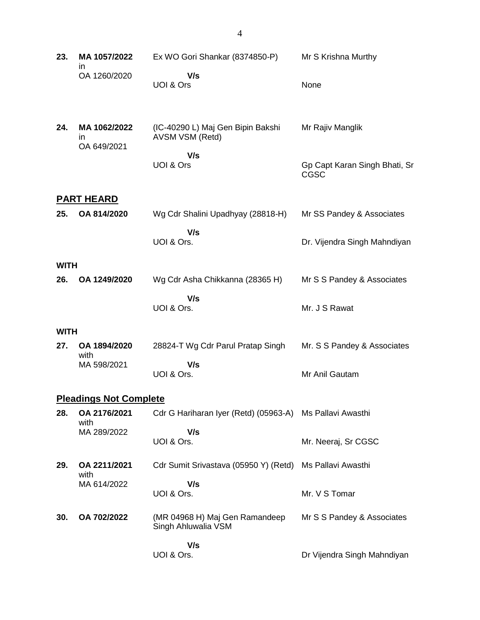| 23.         | MA 1057/2022                      | Ex WO Gori Shankar (8374850-P)                                     | Mr S Krishna Murthy                          |
|-------------|-----------------------------------|--------------------------------------------------------------------|----------------------------------------------|
|             | in<br>OA 1260/2020                | V/s<br>UOI & Ors                                                   | None                                         |
| 24.         | MA 1062/2022<br>in<br>OA 649/2021 | (IC-40290 L) Maj Gen Bipin Bakshi<br><b>AVSM VSM (Retd)</b><br>V/s | Mr Rajiv Manglik                             |
|             |                                   | UOI & Ors                                                          | Gp Capt Karan Singh Bhati, Sr<br><b>CGSC</b> |
|             | <b>PART HEARD</b>                 |                                                                    |                                              |
| 25.         | OA 814/2020                       | Wg Cdr Shalini Upadhyay (28818-H)                                  | Mr SS Pandey & Associates                    |
|             |                                   | V/s<br>UOI & Ors.                                                  | Dr. Vijendra Singh Mahndiyan                 |
| <b>WITH</b> |                                   |                                                                    |                                              |
| 26.         | OA 1249/2020                      | Wg Cdr Asha Chikkanna (28365 H)                                    | Mr S S Pandey & Associates                   |
|             |                                   | V/s<br>UOI & Ors.                                                  | Mr. J S Rawat                                |
| <b>WITH</b> |                                   |                                                                    |                                              |
| 27.         | OA 1894/2020<br>with              | 28824-T Wg Cdr Parul Pratap Singh                                  | Mr. S S Pandey & Associates                  |
|             | MA 598/2021                       | V/s<br>UOI & Ors.                                                  | Mr Anil Gautam                               |
|             | <b>Pleadings Not Complete</b>     |                                                                    |                                              |
| 28.         | OA 2176/2021<br>with              | Cdr G Hariharan Iyer (Retd) (05963-A) Ms Pallavi Awasthi           |                                              |
|             | MA 289/2022                       | V/s<br>UOI & Ors.                                                  | Mr. Neeraj, Sr CGSC                          |
| 29.         | OA 2211/2021<br>with              | Cdr Sumit Srivastava (05950 Y) (Retd)                              | Ms Pallavi Awasthi                           |
|             | MA 614/2022                       | V/s<br>UOI & Ors.                                                  | Mr. V S Tomar                                |
| 30.         | OA 702/2022                       | (MR 04968 H) Maj Gen Ramandeep<br>Singh Ahluwalia VSM              | Mr S S Pandey & Associates                   |
|             |                                   | V/s<br>UOI & Ors.                                                  | Dr Vijendra Singh Mahndiyan                  |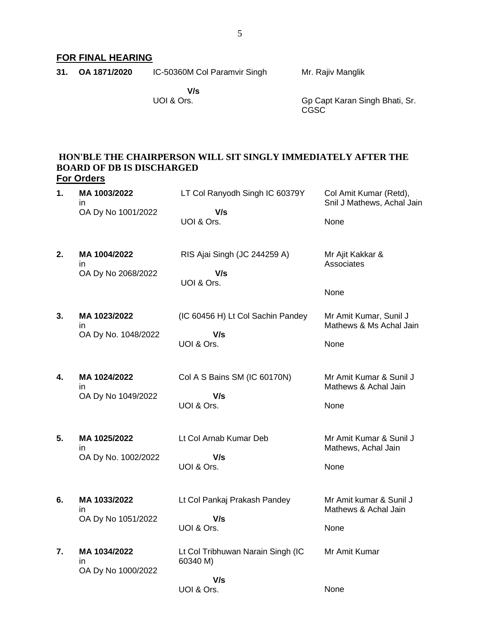# **FOR FINAL HEARING**

| 31. OA 1871/2020 | IC-50360M Col Paramvir Singh | Mr. Rajiv Manglik |  |
|------------------|------------------------------|-------------------|--|
|                  |                              |                   |  |

 **V/s** UOI & Ors.

Gp Capt Karan Singh Bhati, Sr. CGSC

## **HON'BLE THE CHAIRPERSON WILL SIT SINGLY IMMEDIATELY AFTER THE BOARD OF DB IS DISCHARGED For Orders**

| 1. | MA 1003/2022<br>in.                       | LT Col Ranyodh Singh IC 60379Y                | Col Amit Kumar (Retd),<br>Snil J Mathews, Achal Jain   |
|----|-------------------------------------------|-----------------------------------------------|--------------------------------------------------------|
|    | OA Dy No 1001/2022                        | V/s<br>UOI & Ors.                             | None                                                   |
| 2. | MA 1004/2022<br>in<br>OA Dy No 2068/2022  | RIS Ajai Singh (JC 244259 A)<br>V/s           | Mr Ajit Kakkar &<br>Associates                         |
|    |                                           | UOI & Ors.                                    | None                                                   |
| 3. | MA 1023/2022<br>in                        | (IC 60456 H) Lt Col Sachin Pandey             | Mr Amit Kumar, Sunil J<br>Mathews & Ms Achal Jain      |
|    | OA Dy No. 1048/2022                       | V/s<br>UOI & Ors.                             | None                                                   |
| 4. | MA 1024/2022<br>in.<br>OA Dy No 1049/2022 | Col A S Bains SM (IC 60170N)<br>V/s           | Mr Amit Kumar & Sunil J<br>Mathews & Achal Jain        |
|    |                                           | UOI & Ors.                                    | None                                                   |
| 5. | MA 1025/2022<br>ın<br>OA Dy No. 1002/2022 | Lt Col Arnab Kumar Deb<br>V/s<br>UOI & Ors.   | Mr Amit Kumar & Sunil J<br>Mathews, Achal Jain<br>None |
|    |                                           |                                               |                                                        |
| 6. | MA 1033/2022<br>in                        | Lt Col Pankaj Prakash Pandey                  | Mr Amit kumar & Sunil J<br>Mathews & Achal Jain        |
|    | OA Dy No 1051/2022                        | V/s<br>UOI & Ors.                             | None                                                   |
| 7. | MA 1034/2022<br>in<br>OA Dy No 1000/2022  | Lt Col Tribhuwan Narain Singh (IC<br>60340 M) | Mr Amit Kumar                                          |
|    |                                           | V/s<br>UOI & Ors.                             | None                                                   |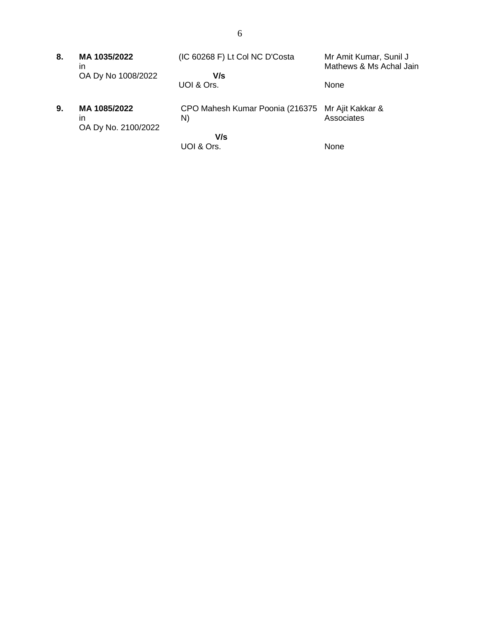| 8. | MA 1035/2022<br>ın                        | (IC 60268 F) Lt Col NC D'Costa        | Mr Amit Kumar, Sunil J<br>Mathews & Ms Achal Jain |
|----|-------------------------------------------|---------------------------------------|---------------------------------------------------|
|    | OA Dy No 1008/2022                        | V/s<br>UOI & Ors.                     | None                                              |
| 9. | MA 1085/2022<br>ın<br>OA Dy No. 2100/2022 | CPO Mahesh Kumar Poonia (216375<br>N) | Mr Ajit Kakkar &<br>Associates                    |
|    |                                           | V/s<br>UOI & Ors.                     | <b>None</b>                                       |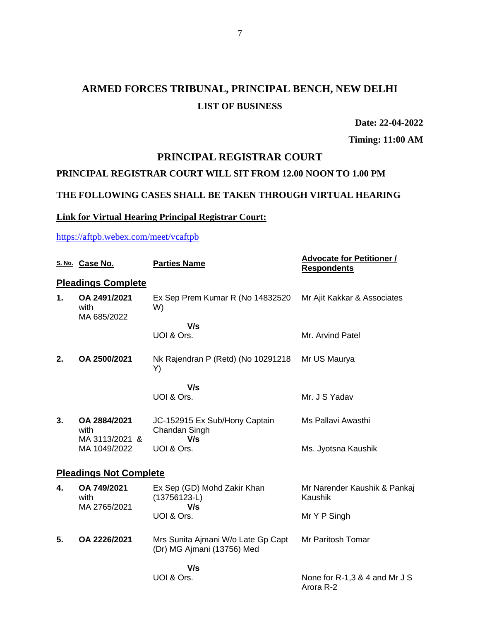# **ARMED FORCES TRIBUNAL, PRINCIPAL BENCH, NEW DELHI LIST OF BUSINESS**

**Date: 22-04-2022**

**Timing: 11:00 AM**

# **PRINCIPAL REGISTRAR COURT**

# **PRINCIPAL REGISTRAR COURT WILL SIT FROM 12.00 NOON TO 1.00 PM**

### **THE FOLLOWING CASES SHALL BE TAKEN THROUGH VIRTUAL HEARING**

# **Link for Virtual Hearing Principal Registrar Court:**

<https://aftpb.webex.com/meet/vcaftpb>

|    | S. No. Case No.                        | <b>Parties Name</b>                                              | <b>Advocate for Petitioner /</b><br><b>Respondents</b> |
|----|----------------------------------------|------------------------------------------------------------------|--------------------------------------------------------|
|    | <b>Pleadings Complete</b>              |                                                                  |                                                        |
| 1. | OA 2491/2021<br>with<br>MA 685/2022    | Ex Sep Prem Kumar R (No 14832520<br>W)                           | Mr Ajit Kakkar & Associates                            |
|    |                                        | V/s                                                              |                                                        |
|    |                                        | UOI & Ors.                                                       | Mr. Arvind Patel                                       |
| 2. | OA 2500/2021                           | Nk Rajendran P (Retd) (No 10291218<br>Y)                         | Mr US Maurya                                           |
|    |                                        | V/s                                                              |                                                        |
|    |                                        | UOI & Ors.                                                       | Mr. J S Yadav                                          |
| 3. | OA 2884/2021<br>with<br>MA 3113/2021 & | JC-152915 Ex Sub/Hony Captain<br>Chandan Singh<br>V/s            | Ms Pallavi Awasthi                                     |
|    | MA 1049/2022                           | UOI & Ors.                                                       | Ms. Jyotsna Kaushik                                    |
|    | <b>Pleadings Not Complete</b>          |                                                                  |                                                        |
| 4. | OA 749/2021<br>with<br>MA 2765/2021    | Ex Sep (GD) Mohd Zakir Khan<br>$(13756123-L)$<br>V/s             | Mr Narender Kaushik & Pankaj<br>Kaushik                |
|    |                                        | UOI & Ors.                                                       | Mr Y P Singh                                           |
| 5. | OA 2226/2021                           | Mrs Sunita Ajmani W/o Late Gp Capt<br>(Dr) MG Ajmani (13756) Med | Mr Paritosh Tomar                                      |
|    |                                        | V/s                                                              |                                                        |
|    |                                        | UOI & Ors.                                                       | None for R-1,3 & 4 and Mr J S<br>Arora R-2             |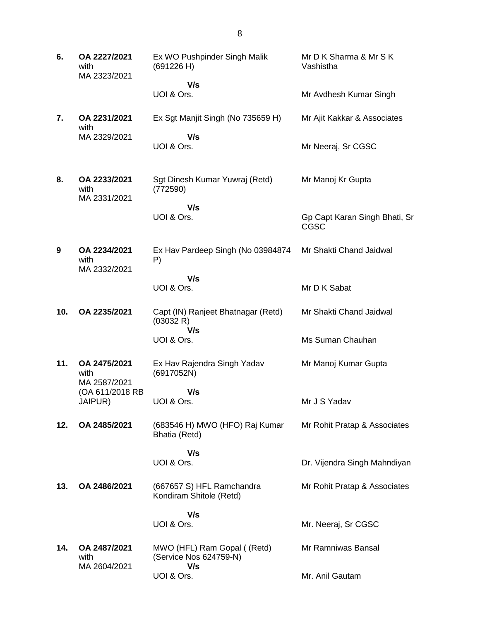| 6.  | OA 2227/2021<br>with<br>MA 2323/2021 | Ex WO Pushpinder Singh Malik<br>(691226 H)                   | Mr D K Sharma & Mr S K<br>Vashistha          |
|-----|--------------------------------------|--------------------------------------------------------------|----------------------------------------------|
|     |                                      | V/s<br>UOI & Ors.                                            | Mr Avdhesh Kumar Singh                       |
| 7.  | OA 2231/2021<br>with                 | Ex Sgt Manjit Singh (No 735659 H)                            | Mr Ajit Kakkar & Associates                  |
|     | MA 2329/2021                         | V/s<br>UOI & Ors.                                            | Mr Neeraj, Sr CGSC                           |
| 8.  | OA 2233/2021<br>with<br>MA 2331/2021 | Sgt Dinesh Kumar Yuwraj (Retd)<br>(772590)                   | Mr Manoj Kr Gupta                            |
|     |                                      | V/s<br>UOI & Ors.                                            | Gp Capt Karan Singh Bhati, Sr<br><b>CGSC</b> |
| 9   | OA 2234/2021<br>with<br>MA 2332/2021 | Ex Hav Pardeep Singh (No 03984874<br>P)                      | Mr Shakti Chand Jaidwal                      |
|     |                                      | V/s<br>UOI & Ors.                                            | Mr D K Sabat                                 |
| 10. | OA 2235/2021                         | Capt (IN) Ranjeet Bhatnagar (Retd)<br>(03032 R)<br>V/s       | Mr Shakti Chand Jaidwal                      |
|     |                                      | UOI & Ors.                                                   | Ms Suman Chauhan                             |
| 11. | OA 2475/2021<br>with<br>MA 2587/2021 | Ex Hav Rajendra Singh Yadav<br>(6917052N)                    | Mr Manoj Kumar Gupta                         |
|     | (OA 611/2018 RB<br>JAIPUR)           | V/s<br>UOI & Ors.                                            | Mr J S Yadav                                 |
| 12. | OA 2485/2021                         | (683546 H) MWO (HFO) Raj Kumar<br>Bhatia (Retd)              | Mr Rohit Pratap & Associates                 |
|     |                                      | V/s                                                          |                                              |
|     |                                      | UOI & Ors.                                                   | Dr. Vijendra Singh Mahndiyan                 |
| 13. | OA 2486/2021                         | (667657 S) HFL Ramchandra<br>Kondiram Shitole (Retd)         | Mr Rohit Pratap & Associates                 |
|     |                                      | V/s<br>UOI & Ors.                                            | Mr. Neeraj, Sr CGSC                          |
|     |                                      |                                                              |                                              |
| 14. | OA 2487/2021<br>with<br>MA 2604/2021 | MWO (HFL) Ram Gopal ((Retd)<br>(Service Nos 624759-N)<br>V/s | Mr Ramniwas Bansal                           |
|     |                                      | UOI & Ors.                                                   | Mr. Anil Gautam                              |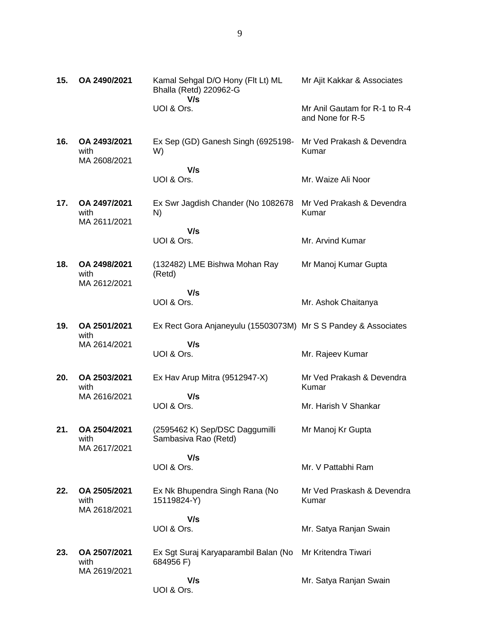| 15. | OA 2490/2021                         | Kamal Sehgal D/O Hony (Flt Lt) ML<br><b>Bhalla (Retd) 220962-G</b><br>V/s | Mr Ajit Kakkar & Associates                       |
|-----|--------------------------------------|---------------------------------------------------------------------------|---------------------------------------------------|
|     |                                      | UOI & Ors.                                                                | Mr Anil Gautam for R-1 to R-4<br>and None for R-5 |
| 16. | OA 2493/2021<br>with<br>MA 2608/2021 | Ex Sep (GD) Ganesh Singh (6925198-<br>W)                                  | Mr Ved Prakash & Devendra<br>Kumar                |
|     |                                      | V/s<br>UOI & Ors.                                                         | Mr. Waize Ali Noor                                |
| 17. | OA 2497/2021<br>with<br>MA 2611/2021 | Ex Swr Jagdish Chander (No 1082678<br>N)                                  | Mr Ved Prakash & Devendra<br>Kumar                |
|     |                                      | V/s<br>UOI & Ors.                                                         | Mr. Arvind Kumar                                  |
| 18. | OA 2498/2021<br>with<br>MA 2612/2021 | (132482) LME Bishwa Mohan Ray<br>(Retd)                                   | Mr Manoj Kumar Gupta                              |
|     |                                      | V/s<br>UOI & Ors.                                                         | Mr. Ashok Chaitanya                               |
| 19. | OA 2501/2021<br>with                 | Ex Rect Gora Anjaneyulu (15503073M) Mr S S Pandey & Associates            |                                                   |
|     | MA 2614/2021                         | V/s<br>UOI & Ors.                                                         | Mr. Rajeev Kumar                                  |
| 20. | OA 2503/2021<br>with                 | Ex Hav Arup Mitra (9512947-X)                                             | Mr Ved Prakash & Devendra<br>Kumar                |
|     | MA 2616/2021                         | V/s<br>UOI & Ors.                                                         | Mr. Harish V Shankar                              |
| 21. | OA 2504/2021<br>with<br>MA 2617/2021 | (2595462 K) Sep/DSC Daggumilli<br>Sambasiva Rao (Retd)                    | Mr Manoj Kr Gupta                                 |
|     |                                      | V/s<br>UOI & Ors.                                                         | Mr. V Pattabhi Ram                                |
| 22. | OA 2505/2021                         | Ex Nk Bhupendra Singh Rana (No                                            | Mr Ved Praskash & Devendra                        |
|     | with<br>MA 2618/2021                 | 15119824-Y)                                                               | Kumar                                             |
|     |                                      | V/s<br>UOI & Ors.                                                         | Mr. Satya Ranjan Swain                            |
| 23. | OA 2507/2021<br>with                 | Ex Sgt Suraj Karyaparambil Balan (No<br>684956 F)                         | Mr Kritendra Tiwari                               |
|     | MA 2619/2021                         | V/s<br>UOI & Ors.                                                         | Mr. Satya Ranjan Swain                            |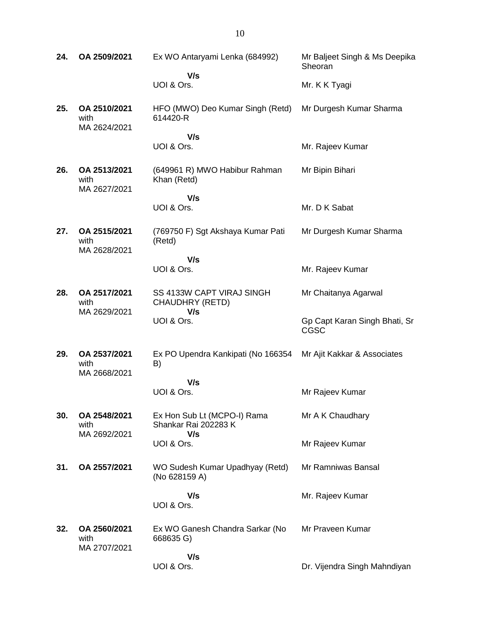| 24. | OA 2509/2021                         | Ex WO Antaryami Lenka (684992)                             | Mr Baljeet Singh & Ms Deepika<br>Sheoran     |
|-----|--------------------------------------|------------------------------------------------------------|----------------------------------------------|
|     |                                      | V/s<br>UOI & Ors.                                          | Mr. K K Tyagi                                |
| 25. | OA 2510/2021<br>with<br>MA 2624/2021 | HFO (MWO) Deo Kumar Singh (Retd)<br>614420-R               | Mr Durgesh Kumar Sharma                      |
|     |                                      | V/s<br>UOI & Ors.                                          | Mr. Rajeev Kumar                             |
| 26. | OA 2513/2021<br>with<br>MA 2627/2021 | (649961 R) MWO Habibur Rahman<br>Khan (Retd)               | Mr Bipin Bihari                              |
|     |                                      | V/s<br>UOI & Ors.                                          | Mr. D K Sabat                                |
| 27. | OA 2515/2021<br>with<br>MA 2628/2021 | (769750 F) Sgt Akshaya Kumar Pati<br>(Retd)                | Mr Durgesh Kumar Sharma                      |
|     |                                      | V/s<br>UOI & Ors.                                          | Mr. Rajeev Kumar                             |
| 28. | OA 2517/2021<br>with<br>MA 2629/2021 | SS 4133W CAPT VIRAJ SINGH<br>CHAUDHRY (RETD)<br>V/s        | Mr Chaitanya Agarwal                         |
|     |                                      | UOI & Ors.                                                 | Gp Capt Karan Singh Bhati, Sr<br><b>CGSC</b> |
| 29. | OA 2537/2021<br>with<br>MA 2668/2021 | Ex PO Upendra Kankipati (No 166354<br>B)                   | Mr Ajit Kakkar & Associates                  |
|     |                                      | V/s<br>UOI & Ors.                                          | Mr Rajeev Kumar                              |
| 30. | OA 2548/2021<br>with<br>MA 2692/2021 | Ex Hon Sub Lt (MCPO-I) Rama<br>Shankar Rai 202283 K<br>V/s | Mr A K Chaudhary                             |
|     |                                      | UOI & Ors.                                                 | Mr Rajeev Kumar                              |
| 31. | OA 2557/2021                         | WO Sudesh Kumar Upadhyay (Retd)<br>(No 628159 A)           | Mr Ramniwas Bansal                           |
|     |                                      | V/s<br>UOI & Ors.                                          | Mr. Rajeev Kumar                             |
| 32. | OA 2560/2021<br>with<br>MA 2707/2021 | Ex WO Ganesh Chandra Sarkar (No<br>668635 G)               | Mr Praveen Kumar                             |
|     |                                      | V/s<br>UOI & Ors.                                          | Dr. Vijendra Singh Mahndiyan                 |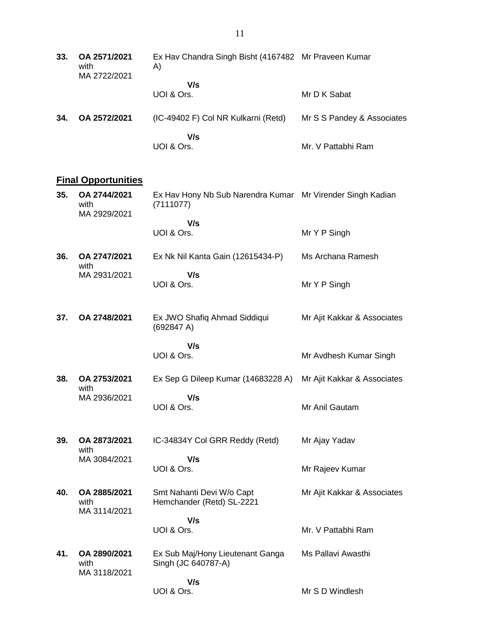| 33. | OA 2571/2021<br>with<br>MA 2722/2021 | Ex Hav Chandra Singh Bisht (4167482 Mr Praveen Kumar<br>A) |                            |
|-----|--------------------------------------|------------------------------------------------------------|----------------------------|
|     |                                      | V/s<br>UOI & Ors.                                          | Mr D K Sabat               |
| 34. | OA 2572/2021                         | (IC-49402 F) Col NR Kulkarni (Retd)                        | Mr S S Pandey & Associates |
|     |                                      | V/s<br>UOI & Ors.                                          | Mr. V Pattabhi Ram         |

# **Final Opportunities**

| 35. | OA 2744/2021<br>with<br>MA 2929/2021 | Ex Hav Hony Nb Sub Narendra Kumar Mr Virender Singh Kadian<br>(7111077) |                             |
|-----|--------------------------------------|-------------------------------------------------------------------------|-----------------------------|
|     |                                      | V/s<br>UOI & Ors.                                                       | Mr Y P Singh                |
| 36. | OA 2747/2021<br>with                 | Ex Nk Nil Kanta Gain (12615434-P)                                       | Ms Archana Ramesh           |
|     | MA 2931/2021                         | V/s<br>UOI & Ors.                                                       | Mr Y P Singh                |
| 37. | OA 2748/2021                         | Ex JWO Shafiq Ahmad Siddiqui<br>(692847 A)                              | Mr Ajit Kakkar & Associates |
|     |                                      | V/s<br>UOI & Ors.                                                       | Mr Avdhesh Kumar Singh      |
| 38. | OA 2753/2021<br>with                 | Ex Sep G Dileep Kumar (14683228 A)                                      | Mr Ajit Kakkar & Associates |
|     | MA 2936/2021                         | V/s<br>UOI & Ors.                                                       | Mr Anil Gautam              |
| 39. | OA 2873/2021<br>with                 | IC-34834Y Col GRR Reddy (Retd)                                          | Mr Ajay Yadav               |
|     | MA 3084/2021                         | V/s<br>UOI & Ors.                                                       | Mr Rajeev Kumar             |
| 40. | OA 2885/2021<br>with<br>MA 3114/2021 | Smt Nahanti Devi W/o Capt<br>Hemchander (Retd) SL-2221                  | Mr Ajit Kakkar & Associates |
|     |                                      | V/s<br>UOI & Ors.                                                       | Mr. V Pattabhi Ram          |
| 41. | OA 2890/2021<br>with<br>MA 3118/2021 | Ex Sub Maj/Hony Lieutenant Ganga<br>Singh (JC 640787-A)                 | Ms Pallavi Awasthi          |
|     |                                      | V/s<br>UOI & Ors.                                                       | Mr S D Windlesh             |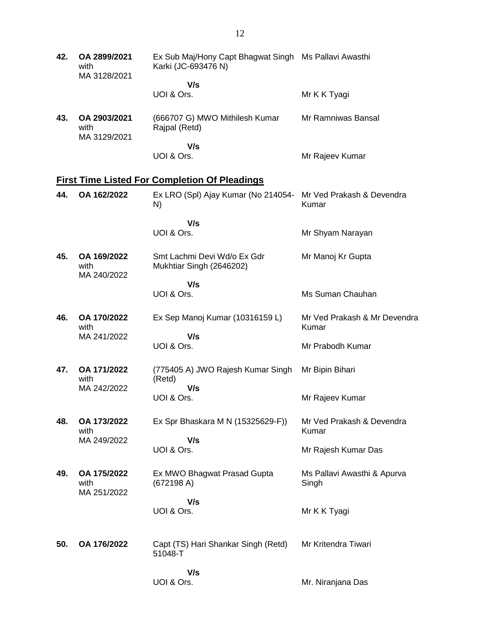| 42. | OA 2899/2021<br>with<br>MA 3128/2021 | Ex Sub Maj/Hony Capt Bhagwat Singh Ms Pallavi Awasthi<br>Karki (JC-693476 N) |                                       |
|-----|--------------------------------------|------------------------------------------------------------------------------|---------------------------------------|
|     |                                      | V/s<br>UOI & Ors.                                                            | Mr K K Tyagi                          |
| 43. | OA 2903/2021<br>with<br>MA 3129/2021 | (666707 G) MWO Mithilesh Kumar<br>Rajpal (Retd)                              | Mr Ramniwas Bansal                    |
|     |                                      | V/s<br>UOI & Ors.                                                            | Mr Rajeev Kumar                       |
|     |                                      | <b>First Time Listed For Completion Of Pleadings</b>                         |                                       |
| 44. | OA 162/2022                          | Ex LRO (Spl) Ajay Kumar (No 214054-<br>N)                                    | Mr Ved Prakash & Devendra<br>Kumar    |
|     |                                      | V/s                                                                          |                                       |
|     |                                      | UOI & Ors.                                                                   | Mr Shyam Narayan                      |
| 45. | OA 169/2022<br>with<br>MA 240/2022   | Smt Lachmi Devi Wd/o Ex Gdr<br>Mukhtiar Singh (2646202)                      | Mr Manoj Kr Gupta                     |
|     |                                      | V/s                                                                          |                                       |
|     |                                      | UOI & Ors.                                                                   | Ms Suman Chauhan                      |
| 46. | OA 170/2022<br>with                  | Ex Sep Manoj Kumar (10316159 L)                                              | Mr Ved Prakash & Mr Devendra<br>Kumar |
|     | MA 241/2022                          | V/s<br>UOI & Ors.                                                            | Mr Prabodh Kumar                      |
| 47. | OA 171/2022<br>with                  | (775405 A) JWO Rajesh Kumar Singh<br>(Retd)                                  | Mr Bipin Bihari                       |
|     | MA 242/2022                          | V/s<br>UOI & Ors.                                                            | Mr Rajeev Kumar                       |
| 48. | OA 173/2022<br>with                  | Ex Spr Bhaskara M N (15325629-F))                                            | Mr Ved Prakash & Devendra<br>Kumar    |
|     | MA 249/2022                          | V/s<br>UOI & Ors.                                                            | Mr Rajesh Kumar Das                   |
| 49. | OA 175/2022<br>with<br>MA 251/2022   | Ex MWO Bhagwat Prasad Gupta<br>(672198 A)                                    | Ms Pallavi Awasthi & Apurva<br>Singh  |
|     |                                      | V/s<br>UOI & Ors.                                                            | Mr K K Tyagi                          |
| 50. | OA 176/2022                          | Capt (TS) Hari Shankar Singh (Retd)<br>51048-T                               | Mr Kritendra Tiwari                   |
|     |                                      | V/s<br>UOI & Ors.                                                            | Mr. Niranjana Das                     |